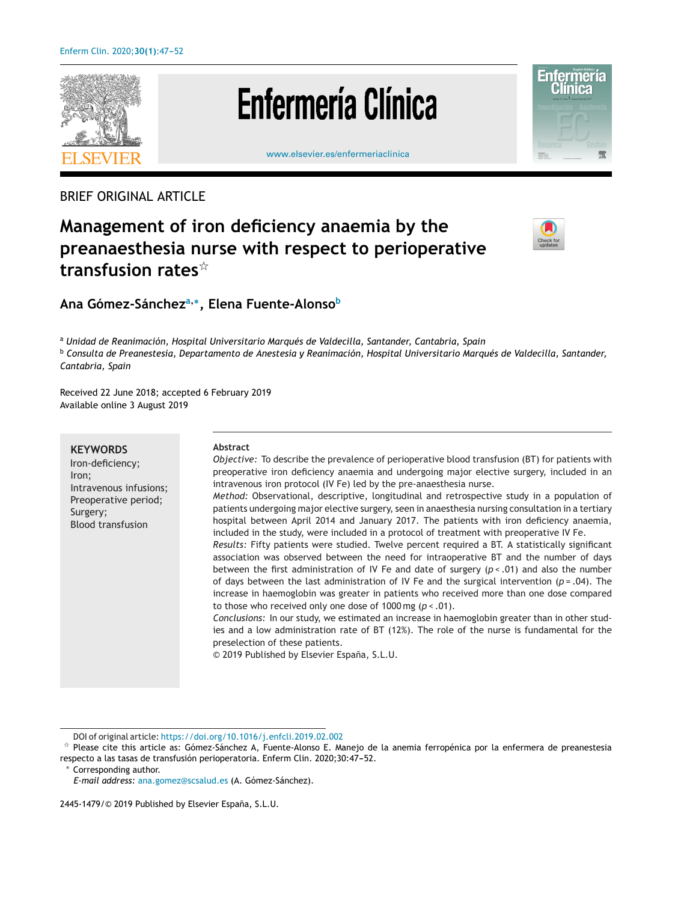

# **Enfermería Clínica**





#### BRIEF ORIGINAL ARTICLE

## **Management of iron deficiency anaemia by the preanaesthesia nurse with respect to perioperative transfusion rates**-



### **Ana Gómez-Sáncheza,∗, Elena Fuente-Alonsob**

<sup>a</sup> *Unidad de Reanimación, Hospital Universitario Marqués de Valdecilla, Santander, Cantabria, Spain* <sup>b</sup> *Consulta de Preanestesia, Departamento de Anestesia y Reanimación, Hospital Universitario Marqués de Valdecilla, Santander, Cantabria, Spain*

Received 22 June 2018; accepted 6 February 2019 Available online 3 August 2019

#### **KEYWORDS**

Iron-deficiency; Iron; Intravenous infusions; Preoperative period; Surgery; Blood transfusion

#### **Abstract**

*Objective:* To describe the prevalence of perioperative blood transfusion (BT) for patients with preoperative iron deficiency anaemia and undergoing major elective surgery, included in an intravenous iron protocol (IV Fe) led by the pre-anaesthesia nurse.

*Method:* Observational, descriptive, longitudinal and retrospective study in a population of patients undergoing major elective surgery, seen in anaesthesia nursing consultation in a tertiary hospital between April 2014 and January 2017. The patients with iron deficiency anaemia, included in the study, were included in a protocol of treatment with preoperative IV Fe.

*Results:* Fifty patients were studied. Twelve percent required a BT. A statistically significant association was observed between the need for intraoperative BT and the number of days between the first administration of IV Fe and date of surgery (*p* < .01) and also the number of days between the last administration of IV Fe and the surgical intervention (*p* = .04). The increase in haemoglobin was greater in patients who received more than one dose compared to those who received only one dose of 1000 mg (*p* < .01).

*Conclusions:* In our study, we estimated an increase in haemoglobin greater than in other studies and a low administration rate of BT (12%). The role of the nurse is fundamental for the preselection of these patients.

© 2019 Published by Elsevier España, S.L.U.

Corresponding author.

DOI of original article: <https://doi.org/10.1016/j.enfcli.2019.02.002>

 $\frac{1}{24}$  Please cite this article as: Gómez-Sánchez A, Fuente-Alonso E. Manejo de la anemia ferropénica por la enfermera de preanestesia respecto a las tasas de transfusión perioperatoria. Enferm Clin. 2020;30:47-52.

*E-mail address:* [ana.gomez@scsalud.es](mailto:ana.gomez@scsalud.es) (A. Gómez-Sánchez).

<sup>2445-1479/© 2019</sup> Published by Elsevier España, S.L.U.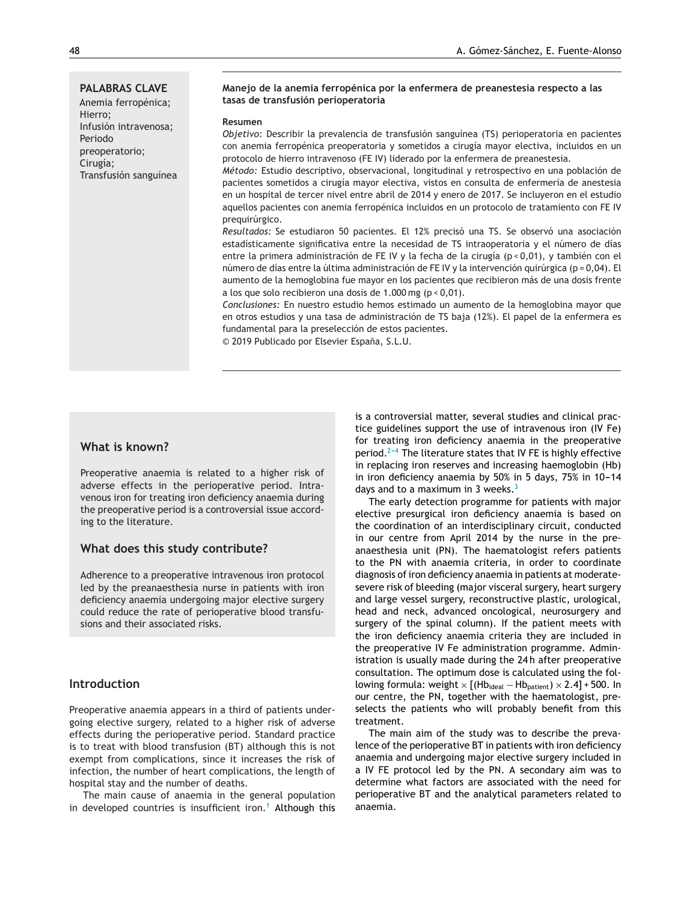#### **PALABRAS CLAVE**

Anemia ferropénica; Hierro; Infusión intravenosa; Periodo preoperatorio; Cirugía; Transfusión sanguínea

#### **Manejo de la anemia ferropénica por la enfermera de preanestesia respecto a las tasas de transfusión perioperatoria**

#### **Resumen**

*Objetivo:* Describir la prevalencia de transfusión sanguínea (TS) perioperatoria en pacientes con anemia ferropénica preoperatoria y sometidos a cirugía mayor electiva, incluidos en un protocolo de hierro intravenoso (FE IV) liderado por la enfermera de preanestesia.

*Método:* Estudio descriptivo, observacional, longitudinal y retrospectivo en una población de pacientes sometidos a cirugía mayor electiva, vistos en consulta de enfermería de anestesia en un hospital de tercer nivel entre abril de 2014 y enero de 2017. Se incluyeron en el estudio aquellos pacientes con anemia ferropénica incluidos en un protocolo de tratamiento con FE IV prequirúrgico.

*Resultados:* Se estudiaron 50 pacientes. El 12% precisó una TS. Se observó una asociación estadísticamente significativa entre la necesidad de TS intraoperatoria y el número de días entre la primera administración de FE IV y la fecha de la cirugía (p < 0,01), y también con el número de días entre la última administración de FE IV y la intervención quirúrgica (p = 0,04). El aumento de la hemoglobina fue mayor en los pacientes que recibieron más de una dosis frente a los que solo recibieron una dosis de 1.000 mg (p < 0,01).

*Conclusiones:* En nuestro estudio hemos estimado un aumento de la hemoglobina mayor que en otros estudios y una tasa de administración de TS baja (12%). El papel de la enfermera es fundamental para la preselección de estos pacientes.

© 2019 Publicado por Elsevier España, S.L.U.

#### **What is known?**

Preoperative anaemia is related to a higher risk of adverse effects in the perioperative period. Intravenous iron for treating iron deficiency anaemia during the preoperative period is a controversial issue according to the literature.

#### **What does this study contribute?**

Adherence to a preoperative intravenous iron protocol led by the preanaesthesia nurse in patients with iron deficiency anaemia undergoing major elective surgery could reduce the rate of perioperative blood transfusions and their associated risks.

#### **Introduction**

Preoperative anaemia appears in a third of patients undergoing elective surgery, related to a higher risk of adverse effects during the perioperative period. Standard practice is to treat with blood transfusion (BT) although this is not exempt from complications, since it increases the risk of infection, the number of heart complications, the length of hospital stay and the number of deaths.

The main cause of anaemia in the general population in developed countries is insufficient iron.<sup>[1](#page-4-0)</sup> Although this is a controversial matter, several studies and clinical practice guidelines support the use of intravenous iron (IV Fe) for treating iron deficiency anaemia in the preoperative period. $2-4$  The literature states that IV FE is highly effective in replacing iron reserves and increasing haemoglobin (Hb) in iron deficiency anaemia by  $50\%$  in 5 days,  $75\%$  in  $10-14$ days and to a maximum in [3](#page-4-0) weeks. $3$ 

The early detection programme for patients with major elective presurgical iron deficiency anaemia is based on the coordination of an interdisciplinary circuit, conducted in our centre from April 2014 by the nurse in the preanaesthesia unit (PN). The haematologist refers patients to the PN with anaemia criteria, in order to coordinate diagnosis of iron deficiency anaemia in patients at moderatesevere risk of bleeding (major visceral surgery, heart surgery and large vessel surgery, reconstructive plastic, urological, head and neck, advanced oncological, neurosurgery and surgery of the spinal column). If the patient meets with the iron deficiency anaemia criteria they are included in the preoperative IV Fe administration programme. Administration is usually made during the 24 h after preoperative consultation. The optimum dose is calculated using the following formula: weight  $\times$  [(Hb<sub>ideal</sub> – Hb<sub>patient</sub>)  $\times$  2.4] + 500. In our centre, the PN, together with the haematologist, preselects the patients who will probably benefit from this treatment.

The main aim of the study was to describe the prevalence of the perioperative BT in patients with iron deficiency anaemia and undergoing major elective surgery included in a IV FE protocol led by the PN. A secondary aim was to determine what factors are associated with the need for perioperative BT and the analytical parameters related to anaemia.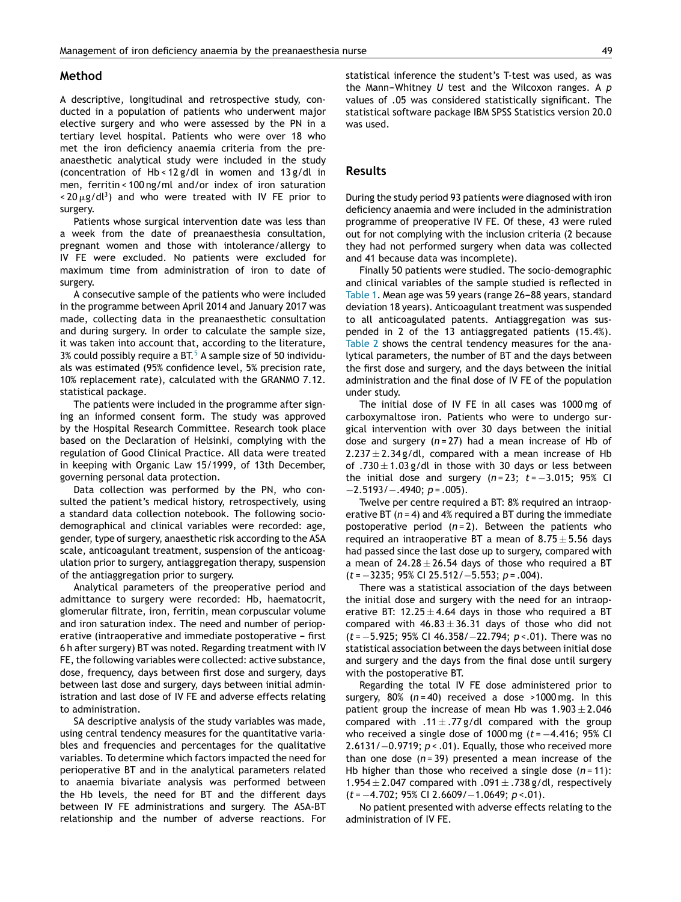#### **Method**

A descriptive, longitudinal and retrospective study, conducted in a population of patients who underwent major elective surgery and who were assessed by the PN in a tertiary level hospital. Patients who were over 18 who met the iron deficiency anaemia criteria from the preanaesthetic analytical study were included in the study (concentration of Hb < 12 g/dl in women and 13 g/dl in men, ferritin < 100 ng/ml and/or index of iron saturation  $<$  20  $\mu$ g/dl<sup>3</sup>) and who were treated with IV FE prior to surgery.

Patients whose surgical intervention date was less than a week from the date of preanaesthesia consultation, pregnant women and those with intolerance/allergy to IV FE were excluded. No patients were excluded for maximum time from administration of iron to date of surgery.

A consecutive sample of the patients who were included in the programme between April 2014 and January 2017 was made, collecting data in the preanaesthetic consultation and during surgery. In order to calculate the sample size, it was taken into account that, according to the literature,  $3\%$  could possibly require a BT.<sup>5</sup> [A](#page-4-0) sample size of 50 individuals was estimated (95% confidence level, 5% precision rate, 10% replacement rate), calculated with the GRANMO 7.12. statistical package.

The patients were included in the programme after signing an informed consent form. The study was approved by the Hospital Research Committee. Research took place based on the Declaration of Helsinki, complying with the regulation of Good Clinical Practice. All data were treated in keeping with Organic Law 15/1999, of 13th December, governing personal data protection.

Data collection was performed by the PN, who consulted the patient's medical history, retrospectively, using a standard data collection notebook. The following sociodemographical and clinical variables were recorded: age, gender, type of surgery, anaesthetic risk according to the ASA scale, anticoagulant treatment, suspension of the anticoagulation prior to surgery, antiaggregation therapy, suspension of the antiaggregation prior to surgery.

Analytical parameters of the preoperative period and admittance to surgery were recorded: Hb, haematocrit, glomerular filtrate, iron, ferritin, mean corpuscular volume and iron saturation index. The need and number of perioperative (intraoperative and immediate postoperative - first 6 h after surgery) BT was noted. Regarding treatment with IV FE, the following variables were collected: active substance, dose, frequency, days between first dose and surgery, days between last dose and surgery, days between initial administration and last dose of IV FE and adverse effects relating to administration.

SA descriptive analysis of the study variables was made, using central tendency measures for the quantitative variables and frequencies and percentages for the qualitative variables. To determine which factors impacted the need for perioperative BT and in the analytical parameters related to anaemia bivariate analysis was performed between the Hb levels, the need for BT and the different days between IV FE administrations and surgery. The ASA-BT relationship and the number of adverse reactions. For statistical inference the student's T-test was used, as was the Mann-Whitney *U* test and the Wilcoxon ranges. A *p* values of .05 was considered statistically significant. The statistical software package IBM SPSS Statistics version 20.0 was used.

#### **Results**

During the study period 93 patients were diagnosed with iron deficiency anaemia and were included in the administration programme of preoperative IV FE. Of these, 43 were ruled out for not complying with the inclusion criteria (2 because they had not performed surgery when data was collected and 41 because data was incomplete).

Finally 50 patients were studied. The socio-demographic and clinical variables of the sample studied is reflected in [Table](#page-3-0) 1. Mean age was 59 years (range 26-88 years, standard deviation 18 years). Anticoagulant treatment was suspended to all anticoagulated patents. Antiaggregation was suspended in 2 of the 13 antiaggregated patients (15.4%). [Table](#page-4-0) 2 shows the central tendency measures for the analytical parameters, the number of BT and the days between the first dose and surgery, and the days between the initial administration and the final dose of IV FE of the population under study.

The initial dose of IV FE in all cases was 1000 mg of carboxymaltose iron. Patients who were to undergo surgical intervention with over 30 days between the initial dose and surgery (*n* = 27) had a mean increase of Hb of  $2.237 \pm 2.34$  g/dl, compared with a mean increase of Hb of .730  $\pm$  1.03 g/dl in those with 30 days or less between the initial dose and surgery (*n* = 23; *t* = −3.015; 95% CI −2.5193/−.4940; *p* = .005).

Twelve per centre required a BT: 8% required an intraoperative BT (*n* = 4) and 4% required a BT during the immediate postoperative period (*n* = 2). Between the patients who required an intraoperative BT a mean of  $8.75 \pm 5.56$  days had passed since the last dose up to surgery, compared with a mean of  $24.28 \pm 26.54$  days of those who required a BT (*t* = −3235; 95% CI 25.512/−5.553; *p* = .004).

There was a statistical association of the days between the initial dose and surgery with the need for an intraoperative BT: 12.25  $\pm$  4.64 days in those who required a BT compared with  $46.83 \pm 36.31$  days of those who did not (*t* = −5.925; 95% CI 46.358/−22.794; *p* <.01). There was no statistical association between the days between initial dose and surgery and the days from the final dose until surgery with the postoperative BT.

Regarding the total IV FE dose administered prior to surgery, 80% (*n* = 40) received a dose >1000 mg. In this patient group the increase of mean Hb was  $1.903 \pm 2.046$ compared with  $.11 \pm .77$  g/dl compared with the group who received a single dose of 1000 mg (*t* = −4.416; 95% CI 2.6131/−0.9719; *p* < .01). Equally, those who received more than one dose  $(n=39)$  presented a mean increase of the Hb higher than those who received a single dose (*n* = 11): 1.954  $\pm$  2.047 compared with .091  $\pm$  .738 g/dl, respectively (*t* = −4.702; 95% CI 2.6609/−1.0649; *p* <.01).

No patient presented with adverse effects relating to the administration of IV FE.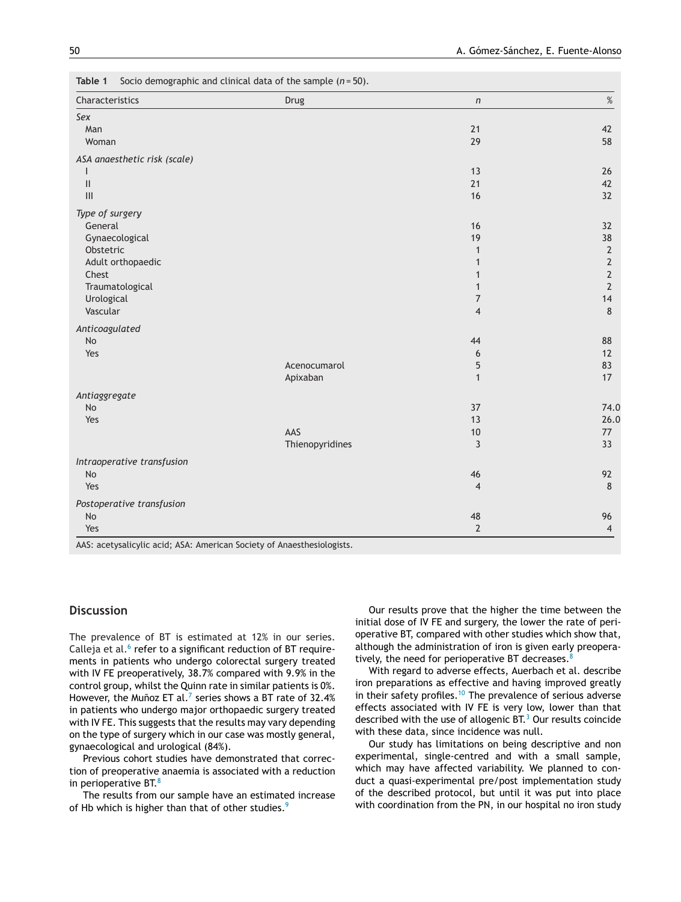<span id="page-3-0"></span>**Table 1** Socio demographic and clinical data of the sample (*n* = 50).

| Characteristics                                                           | Drug            | $\sqrt{n}$     | $\%$           |
|---------------------------------------------------------------------------|-----------------|----------------|----------------|
| Sex                                                                       |                 |                |                |
| Man                                                                       |                 | 21             | 42             |
| Woman                                                                     |                 | 29             | 58             |
| ASA anaesthetic risk (scale)                                              |                 |                |                |
| ı                                                                         |                 | 13             | 26             |
| $\label{eq:1} \prod_{i=1}^n \left\{ \prod_{i=1}^n \frac{1}{n_i} \right\}$ |                 | 21             | 42             |
| $\mathbf{III}$                                                            |                 | 16             | 32             |
| Type of surgery                                                           |                 |                |                |
| General                                                                   |                 | 16             | 32             |
| Gynaecological                                                            |                 | 19             | 38             |
| Obstetric                                                                 |                 | $\mathbf{1}$   | $\sqrt{2}$     |
| Adult orthopaedic                                                         |                 | 1              | $\mathbf 2$    |
| Chest                                                                     |                 |                | $\sqrt{2}$     |
| Traumatological                                                           |                 | 1              | $\overline{2}$ |
| Urological                                                                |                 | $\overline{7}$ | 14             |
| Vascular                                                                  |                 | $\overline{4}$ | 8              |
| Anticoagulated                                                            |                 |                |                |
| <b>No</b>                                                                 |                 | 44             | 88             |
| Yes                                                                       |                 | 6              | 12             |
|                                                                           | Acenocumarol    | 5              | 83             |
|                                                                           | Apixaban        | $\mathbf{1}$   | 17             |
| Antiaggregate                                                             |                 |                |                |
| No                                                                        |                 | 37             | 74.0           |
| Yes                                                                       |                 | 13             | 26.0           |
|                                                                           | AAS             | $10\,$         | 77             |
|                                                                           | Thienopyridines | 3              | 33             |
| Intraoperative transfusion                                                |                 |                |                |
| No                                                                        |                 | 46             | 92             |
| Yes                                                                       |                 | $\overline{4}$ | 8              |
| Postoperative transfusion                                                 |                 |                |                |
| No                                                                        |                 | 48             | 96             |
| Yes                                                                       |                 | $\overline{2}$ | $\overline{4}$ |

AAS: acetysalicylic acid; ASA: American Society of Anaesthesiologists.

#### **Discussion**

The prevalence of BT is estimated at 12% in our series. Calleja et al. $6$  [r](#page-4-0)efer to a significant reduction of BT requirements in patients who undergo colorectal surgery treated with IV FE preoperatively, 38.7% compared with 9.9% in the control group, whilst the Quinn rate in similar patients is 0%. However, the Muñoz ET al.<[s](#page-4-0)up>7</sup> series shows a BT rate of 32.4% in patients who undergo major orthopaedic surgery treated with IV FE. This suggests that the results may vary depending on the type of surgery which in our case was mostly general, gynaecological and urological (84%).

Previous cohort studies have demonstrated that correction of preoperative anaemia is associated with a reduction in perioperative BT. $8$ 

The results from our sample have an estimated increase of Hb which is higher than that of other studies.<sup>[9](#page-5-0)</sup>

Our results prove that the higher the time between the initial dose of IV FE and surgery, the lower the rate of perioperative BT, compared with other studies which show that, although the administration of iron is given early preoperatively, the need for perioperative BT decreases. $8$ 

With regard to adverse effects, Auerbach et al. describe iron preparations as effective and having improved greatly in their safety profiles.<sup>[10](#page-5-0)</sup> The prevalence of serious adverse effects associated with IV FE is very low, lower than that described with the use of allogenic  $BT^3$  [O](#page-4-0)ur results coincide with these data, since incidence was null.

Our study has limitations on being descriptive and non experimental, single-centred and with a small sample, which may have affected variability. We planned to conduct a quasi-experimental pre/post implementation study of the described protocol, but until it was put into place with coordination from the PN, in our hospital no iron study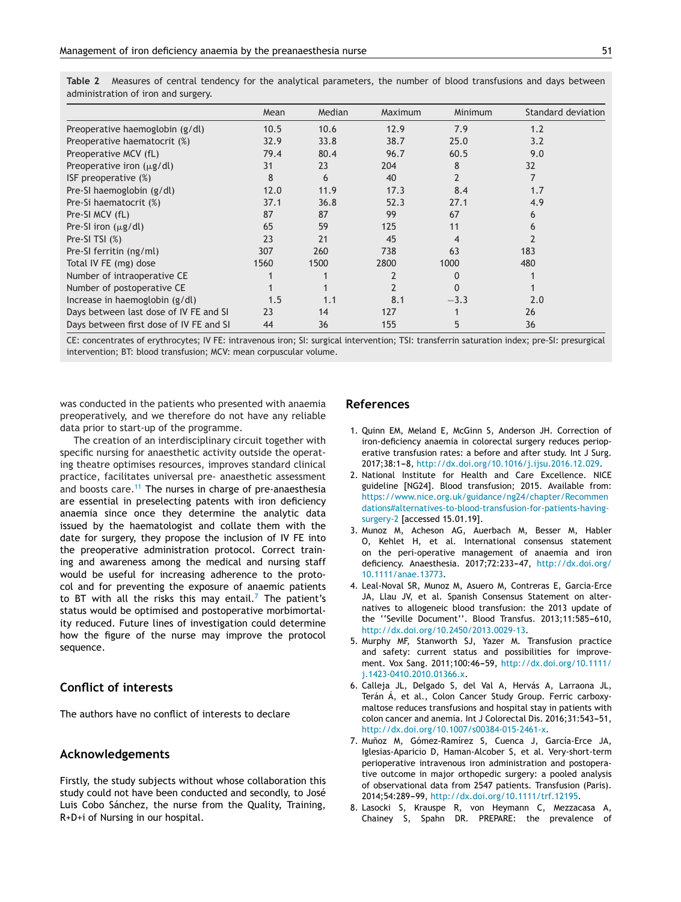<span id="page-4-0"></span>

| Table 2 Measures of central tendency for the analytical parameters, the number of blood transfusions and days between |  |  |  |  |  |  |  |
|-----------------------------------------------------------------------------------------------------------------------|--|--|--|--|--|--|--|
| administration of iron and surgery.                                                                                   |  |  |  |  |  |  |  |

|                                         | Mean | Median | Maximum | Minimum        | Standard deviation |
|-----------------------------------------|------|--------|---------|----------------|--------------------|
| Preoperative haemoglobin (g/dl)         | 10.5 | 10.6   | 12.9    | 7.9            | 1.2                |
| Preoperative haematocrit (%)            | 32.9 | 33.8   | 38.7    | 25.0           | 3.2                |
| Preoperative MCV (fL)                   | 79.4 | 80.4   | 96.7    | 60.5           | 9.0                |
| Preoperative iron $(\mu g/dl)$          | 31   | 23     | 204     | 8              | 32                 |
| ISF preoperative (%)                    | 8    | 6      | 40      | $\overline{2}$ | 7                  |
| Pre-SI haemoglobin (g/dl)               | 12.0 | 11.9   | 17.3    | 8.4            | 1.7                |
| Pre-Si haematocrit (%)                  | 37.1 | 36.8   | 52.3    | 27.1           | 4.9                |
| Pre-SI MCV (fL)                         | 87   | 87     | 99      | 67             | 6                  |
| Pre-SI iron $(\mu g/dl)$                | 65   | 59     | 125     | 11             | 6                  |
| Pre-SI TSI $(\%)$                       | 23   | 21     | 45      | 4              |                    |
| Pre-SI ferritin (ng/ml)                 | 307  | 260    | 738     | 63             | 183                |
| Total IV FE (mg) dose                   | 1560 | 1500   | 2800    | 1000           | 480                |
| Number of intraoperative CE             |      |        |         |                |                    |
| Number of postoperative CE              |      |        |         |                |                    |
| Increase in haemoglobin (g/dl)          | 1.5  | 1.1    | 8.1     | $-3.3$         | 2.0                |
| Days between last dose of IV FE and SI  | 23   | 14     | 127     |                | 26                 |
| Days between first dose of IV FE and SI | 44   | 36     | 155     | 5              | 36                 |

CE: concentrates of erythrocytes; IV FE: intravenous iron; SI: surgical intervention; TSI: transferrin saturation index; pre-SI: presurgical intervention; BT: blood transfusion; MCV: mean corpuscular volume.

was conducted in the patients who presented with anaemia preoperatively, and we therefore do not have any reliable data prior to start-up of the programme.

The creation of an interdisciplinary circuit together with specific nursing for anaesthetic activity outside the operating theatre optimises resources, improves standard clinical practice, facilitates universal pre- anaesthetic assessment and boosts care.<sup>[11](#page-5-0)</sup> The nurses in charge of pre-anaesthesia are essential in preselecting patents with iron deficiency anaemia since once they determine the analytic data issued by the haematologist and collate them with the date for surgery, they propose the inclusion of IV FE into the preoperative administration protocol. Correct training and awareness among the medical and nursing staff would be useful for increasing adherence to the protocol and for preventing the exposure of anaemic patients to BT with all the risks this may entail.<sup>7</sup> The patient's status would be optimised and postoperative morbimortality reduced. Future lines of investigation could determine how the figure of the nurse may improve the protocol sequence.

#### **Conflict of interests**

The authors have no conflict of interests to declare

#### **Acknowledgements**

Firstly, the study subjects without whose collaboration this study could not have been conducted and secondly, to José Luis Cobo Sánchez, the nurse from the Quality, Training, R+D+i of Nursing in our hospital.

#### **References**

- 1. Quinn EM, Meland E, McGinn S, Anderson JH. Correction of iron-deficiency anaemia in colorectal surgery reduces perioperative transfusion rates: a before and after study. Int J Surg. 2017;38:1-8, [http://dx.doi.org/10.1016/j.ijsu.2016.12.029.](dx.doi.org/10.1016/j.ijsu.2016.12.029)
- 2. National Institute for Health and Care Excellence. NICE guideline [NG24]. Blood transfusion; 2015. Available from: [https://www.nice.org.uk/guidance/ng24/chapter/Recommen](https://www.nice.org.uk/guidance/ng24/chapter/Recommendations) [dations#alternatives-to-blood-transfusion-for-patients-having](https://www.nice.org.uk/guidance/ng24/chapter/Recommendations)[surgery-2](https://www.nice.org.uk/guidance/ng24/chapter/Recommendations) [accessed 15.01.19].
- 3. Munoz M, Acheson AG, Auerbach M, Besser M, Habler O, Kehlet H, et al. International consensus statement on the peri-operative management of anaemia and iron deficiency. Anaesthesia. 2017;72:233-47, [http://dx.doi.org/](dx.doi.org/10.1111/anae.13773) [10.1111/anae.13773.](dx.doi.org/10.1111/anae.13773)
- 4. Leal-Noval SR, Munoz M, Asuero M, Contreras E, Garcia-Erce JA, Llau JV, et al. Spanish Consensus Statement on alternatives to allogeneic blood transfusion: the 2013 update of the "Seville Document". Blood Transfus. 2013;11:585-610, [http://dx.doi.org/10.2450/2013.0029-13.](dx.doi.org/10.2450/2013.0029-13)
- 5. Murphy MF, Stanworth SJ, Yazer M. Transfusion practice and safety: current status and possibilities for improvement. Vox Sang. 2011;100:46-59, [http://dx.doi.org/10.1111/](dx.doi.org/10.1111/j.1423-0410.2010.01366.x) [j.1423-0410.2010.01366.x](dx.doi.org/10.1111/j.1423-0410.2010.01366.x).
- 6. Calleja JL, Delgado S, del Val A, Hervás A, Larraona JL, Terán Á, et al., Colon Cancer Study Group. Ferric carboxymaltose reduces transfusions and hospital stay in patients with colon cancer and anemia. Int J Colorectal Dis. 2016;31:543-51, [http://dx.doi.org/10.1007/s00384-015-2461-x](dx.doi.org/10.1007/s00384-015-2461-x).
- 7. Muñoz M, Gómez-Ramírez S, Cuenca J, García-Erce JA, Iglesias-Aparicio D, Haman-Alcober S, et al. Very-short-term perioperative intravenous iron administration and postoperative outcome in major orthopedic surgery: a pooled analysis of observational data from 2547 patients. Transfusion (Paris). 2014:54:289-99, [http://dx.doi.org/10.1111/trf.12195](dx.doi.org/10.1111/trf.12195).
- 8. Lasocki S, Krauspe R, von Heymann C, Mezzacasa A, Chainey S, Spahn DR. PREPARE: the prevalence of